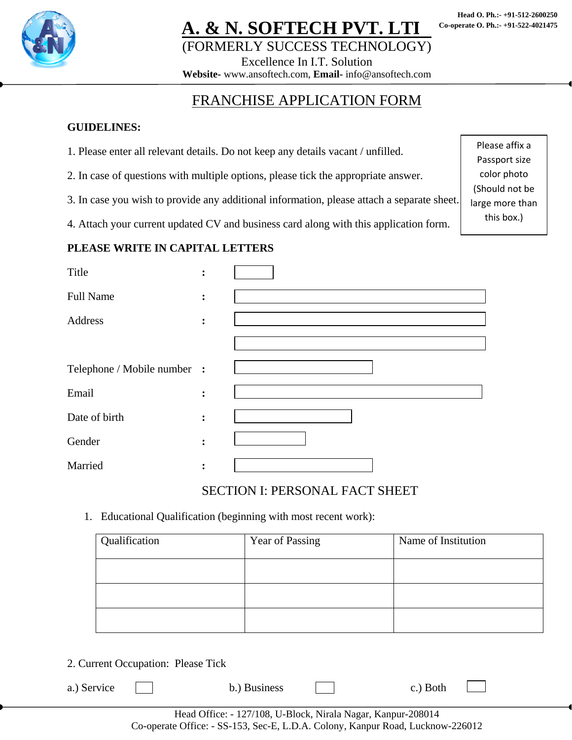

## <u>. & N. SOFTECH PVT. LTI</u> (FORMERLY SUCCESS TECHNOLOGY)

Please affix a Passport size color photo (Should not be large more than this box.)

Excellence In I.T. Solution

**Website-** www.ansoftech.com, **Email-** info@ansoftech.com

### FRANCHISE APPLICATION FORM

#### **GUIDELINES:**

- 1. Please enter all relevant details. Do not keep any details vacant / unfilled.
- 2. In case of questions with multiple options, please tick the appropriate answer.
- 3. In case you wish to provide any additional information, please attach a separate sheet.

4. Attach your current updated CV and business card along with this application form.

#### **PLEASE WRITE IN CAPITAL LETTERS**

| Title                       | $\ddot{\cdot}$ |  |
|-----------------------------|----------------|--|
| <b>Full Name</b>            | $\ddot{\cdot}$ |  |
| Address                     | :              |  |
|                             |                |  |
| Telephone / Mobile number : |                |  |
| Email                       | :              |  |
| Date of birth               | :              |  |
| Gender                      | :              |  |
| Married                     | $\ddot{\cdot}$ |  |

#### SECTION I: PERSONAL FACT SHEET

1. Educational Qualification (beginning with most recent work):

| Qualification | Year of Passing | Name of Institution |
|---------------|-----------------|---------------------|
|               |                 |                     |
|               |                 |                     |
|               |                 |                     |

2. Current Occupation: Please Tick

| a.) Service | b.) Business | c.) Both |  |
|-------------|--------------|----------|--|
|             |              |          |  |

Head Office: - 127/108, U-Block, Nirala Nagar, Kanpur-208014 Co-operate Office: - SS-153, Sec-E, L.D.A. Colony, Kanpur Road, Lucknow-226012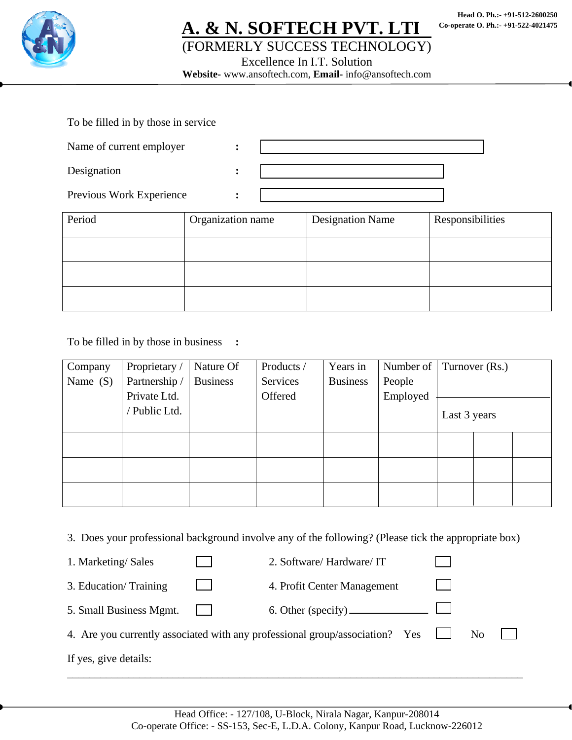

## **A. & N. SOFTECH PVT. LTD.**  (FORMERLY SUCCESS TECHNOLOGY)

Excellence In I.T. Solution

**Website-** www.ansoftech.com, **Email-** info@ansoftech.com

| To be filled in by those in service |  |
|-------------------------------------|--|
| Name of current employer            |  |
| Designation                         |  |
| Previous Work Experience            |  |

| Period | Organization name | <b>Designation Name</b> | Responsibilities |  |
|--------|-------------------|-------------------------|------------------|--|
|        |                   |                         |                  |  |
|        |                   |                         |                  |  |
|        |                   |                         |                  |  |

To be filled in by those in business **:** 

| Company    | Proprietary / | Nature Of       | Products / | Years in        | Number of |              | Turnover (Rs.) |  |
|------------|---------------|-----------------|------------|-----------------|-----------|--------------|----------------|--|
| Name $(S)$ | Partnership / | <b>Business</b> | Services   | <b>Business</b> | People    |              |                |  |
|            | Private Ltd.  |                 | Offered    |                 | Employed  |              |                |  |
|            | Public Ltd.   |                 |            |                 |           | Last 3 years |                |  |
|            |               |                 |            |                 |           |              |                |  |
|            |               |                 |            |                 |           |              |                |  |
|            |               |                 |            |                 |           |              |                |  |
|            |               |                 |            |                 |           |              |                |  |
|            |               |                 |            |                 |           |              |                |  |

3. Does your professional background involve any of the following? (Please tick the appropriate box)

| 1. Marketing/Sales      | 2. Software/ Hardware/ IT                                                    |    |  |
|-------------------------|------------------------------------------------------------------------------|----|--|
| 3. Education/Training   | 4. Profit Center Management                                                  |    |  |
| 5. Small Business Mgmt. |                                                                              |    |  |
|                         | 4. Are you currently associated with any professional group/association? Yes | No |  |
| If yes, give details:   |                                                                              |    |  |

\_\_\_\_\_\_\_\_\_\_\_\_\_\_\_\_\_\_\_\_\_\_\_\_\_\_\_\_\_\_\_\_\_\_\_\_\_\_\_\_\_\_\_\_\_\_\_\_\_\_\_\_\_\_\_\_\_\_\_\_\_\_\_\_\_\_\_\_\_\_\_\_\_\_\_\_\_\_\_\_\_\_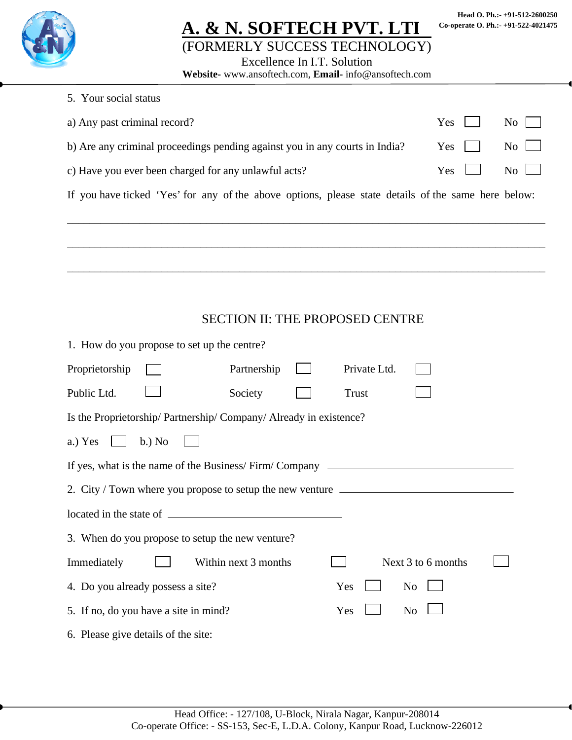|--|

## **A. & N. SOFTECH PVT. LTI** (FORMERLY SUCCESS TECHNOLOGY)

**Head O. Ph.:- +91-512-2600250 Co-operate O. Ph.:- +91-522-4021475** 

Excellence In I.T. Solution

**Website-** www.ansoftech.com, **Email-** info@ansoftech.com

| 5. Your social status                                                                               |                    |  |  |  |  |  |  |
|-----------------------------------------------------------------------------------------------------|--------------------|--|--|--|--|--|--|
| a) Any past criminal record?<br>Yes<br>No                                                           |                    |  |  |  |  |  |  |
| b) Are any criminal proceedings pending against you in any courts in India?                         | Yes<br>No          |  |  |  |  |  |  |
| c) Have you ever been charged for any unlawful acts?                                                | No<br>Yes          |  |  |  |  |  |  |
| If you have ticked 'Yes' for any of the above options, please state details of the same here below: |                    |  |  |  |  |  |  |
|                                                                                                     |                    |  |  |  |  |  |  |
|                                                                                                     |                    |  |  |  |  |  |  |
|                                                                                                     |                    |  |  |  |  |  |  |
|                                                                                                     |                    |  |  |  |  |  |  |
| <b>SECTION II: THE PROPOSED CENTRE</b>                                                              |                    |  |  |  |  |  |  |
| 1. How do you propose to set up the centre?                                                         |                    |  |  |  |  |  |  |
| Proprietorship<br>Partnership<br>Private Ltd.                                                       |                    |  |  |  |  |  |  |
| Public Ltd.<br>Society<br>Trust                                                                     |                    |  |  |  |  |  |  |
| Is the Proprietorship/ Partnership/ Company/ Already in existence?                                  |                    |  |  |  |  |  |  |
| $b$ .) No<br>a.) Yes                                                                                |                    |  |  |  |  |  |  |
| If yes, what is the name of the Business/Firm/Company __________________________                    |                    |  |  |  |  |  |  |
| 2. City / Town where you propose to setup the new venture ______________________                    |                    |  |  |  |  |  |  |
| located in the state of                                                                             |                    |  |  |  |  |  |  |
| 3. When do you propose to setup the new venture?                                                    |                    |  |  |  |  |  |  |
| Within next 3 months<br>Immediately                                                                 | Next 3 to 6 months |  |  |  |  |  |  |
| 4. Do you already possess a site?<br>Yes                                                            | No                 |  |  |  |  |  |  |
| 5. If no, do you have a site in mind?<br>No<br>Yes                                                  |                    |  |  |  |  |  |  |

6. Please give details of the site: